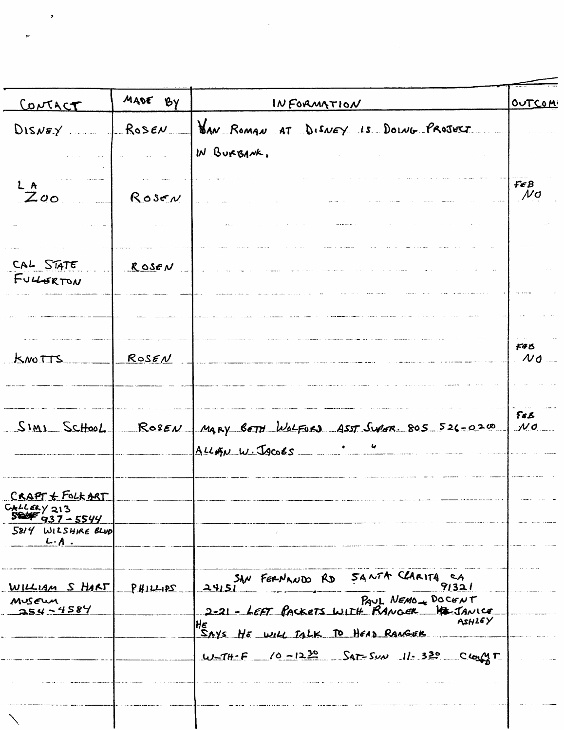| CONTACT                                     | MADE BY                 | INFORMATION                                                                                   | OUTCOM                                       |
|---------------------------------------------|-------------------------|-----------------------------------------------------------------------------------------------|----------------------------------------------|
| $DISNEY$ .                                  | $\_R$ ose $\prime\_{-}$ | BAN ROMAN AT DISNEY IS DOING PROJECT.                                                         |                                              |
|                                             |                         | IN BURBANK.                                                                                   |                                              |
| L A                                         |                         |                                                                                               | FEB<br>$\mu$ o                               |
| Zoo                                         | $R$ ose $N$             |                                                                                               |                                              |
|                                             |                         |                                                                                               |                                              |
| CAL STATE                                   | RoseV                   |                                                                                               |                                              |
| FULLSRTON                                   |                         |                                                                                               |                                              |
|                                             |                         |                                                                                               |                                              |
| <u>KNOTTS</u>                               | ROSEN                   |                                                                                               | <b>F</b> &B<br>$\mathcal{M}$ d               |
|                                             |                         |                                                                                               |                                              |
| SIMI School                                 | Roseu                   | MARY BETH WOLFURD ASST SWAR. 805 526-0200                                                     | $F_{\boldsymbol{\delta}}$<br>$\mathcal{N}$ d |
|                                             |                         | $ALLAN W. J90065$ $3000$                                                                      |                                              |
| $C \kappa A P T \nleftarrow$ FOLK ART       |                         |                                                                                               |                                              |
| GALLERY 213<br><b>SEEFF</b><br>$937 - 5544$ |                         |                                                                                               |                                              |
| 5814 WILSHIRE BLUD<br>$L \cdot A$ .         |                         |                                                                                               |                                              |
|                                             |                         |                                                                                               |                                              |
| WILLIAM S HART<br>MUSEUM                    | <u>PHILLIPS</u>         | SAN FERNANDO RD SANTA CLARITA CA<br>24151 91321<br>PAUL NEMO DOCENT                           |                                              |
| $254 - 4584$                                |                         | 2-21 - LEFT PACKETS WITH RANGER HE JANICE<br>ASHIEY<br>HE<br>SAYS HE WILL TALK TO HEAD RANGER |                                              |
|                                             |                         | $11.330$ Class $11.530$ Class Class 11.                                                       |                                              |
|                                             |                         |                                                                                               |                                              |
|                                             |                         |                                                                                               |                                              |

,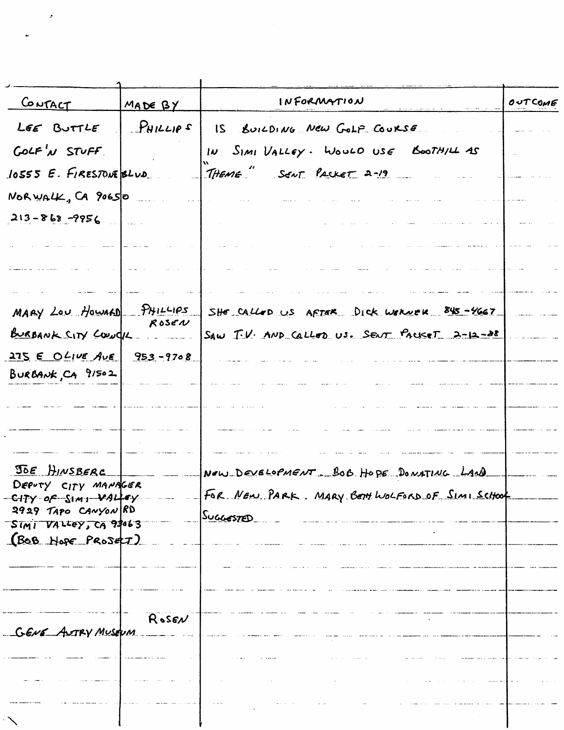| CONTACT                                     | MADE BY      | INFORMATION                                    | OUTCOME |
|---------------------------------------------|--------------|------------------------------------------------|---------|
| LEE BUTTLE                                  | $P$ HILLIPS  | IS BUILDING NEW GOLP COURSE                    |         |
| GOLF'N STUFF                                |              | IN SIMI VALLEY. WOULD USE BOOTHILL AS          |         |
| 10555 E. FIRESTONE BLUD                     |              | THEME SENT PACKET 2-19                         |         |
| NORWALK, CA 90650                           |              |                                                |         |
| $213 - 868 - 9956$                          |              |                                                |         |
|                                             |              |                                                |         |
|                                             |              |                                                |         |
| MARY LOU HOWARD PHILLIPS                    |              | SHE CALLED US AFTER DICK WIRNER 845-4667       |         |
| BURBANK CITY COUNCIL                        | $R$ ose $N$  | SAW IV. AND Callon US. SENT PACKET 2-12-28     |         |
| $275 \epsilon$ O $L_1\nu \epsilon$ Ave      | $953 - 9708$ |                                                |         |
| BURBANK, CA 91502                           |              |                                                |         |
|                                             |              |                                                |         |
|                                             |              |                                                |         |
| JOE HINSBERC                                |              | NOW DEVELOPMENT BOB HOPE DONATING LAND         |         |
| DEPUTY CITY MANAGER<br>-CITY OF SIMI VALLEY |              | FOR NEW PARK. MARY BETH WOLFORD OF SIMI SCHOOL |         |
| $9929$ Tapo CANYON RD                       |              | SuccesTED                                      |         |
| SIMI VALLEY, CA 93063<br>(BOB HOPE PROSELT) |              |                                                |         |
|                                             |              |                                                |         |
|                                             |              |                                                |         |
|                                             |              |                                                |         |
| GENE ASTRY MUSEUM                           | ROSEN        |                                                |         |
|                                             |              |                                                |         |
|                                             |              |                                                |         |
|                                             |              |                                                |         |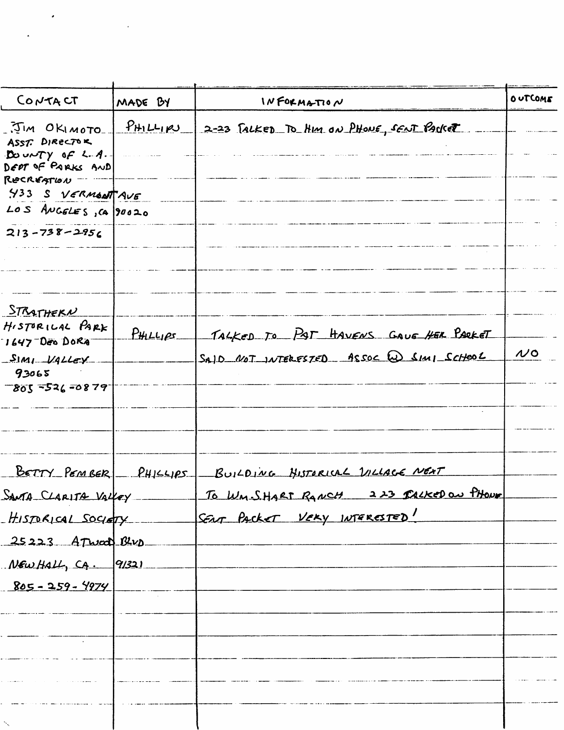| CONTACT<br>MADE BY                                  |             | INFORMATION                              |               |
|-----------------------------------------------------|-------------|------------------------------------------|---------------|
| .JIM OKIMOTO<br>ASST. DIRECTOR                      | $P$ HILLIPU | 2-23 TALKED TO HIM ON PHONE, SENT PARKET |               |
| DOUNTY OF $4.4.$<br>DEPT OF PARKS AND<br>RECREATION |             |                                          |               |
| Y33 S VERMONTAVE                                    |             |                                          |               |
| LOS ANGELES, CA 90020                               |             |                                          |               |
| $213 - 738 - 2956$                                  |             |                                          |               |
|                                                     |             |                                          |               |
| STRATHERN<br>HISTORICAL PARK<br>7647 Des DORA       | $P$ HILLIPS | TALKED TO PAT HAVENS GAUE HER PARKET     |               |
| $SIMI$ VALLEY<br>93065<br>$-805 - 526 - 0879$       |             | SAID NOT INTERFSTED ASSOC W SIMI SCHOOL  | $\mathcal{N}$ |
|                                                     |             |                                          |               |
| BETTY PEMBER                                        | PHISEIPS    | BUILDING HISTORICAL VILLAGE NEXT         |               |
| SANTA CLARITA VALLEY                                |             | To WM. S. HART RANCH 223 TALKED ON PHONE |               |
| HISTORICAL SOCIETY                                  |             | SENT PACKET VERY INTERESTED!             |               |
| 25223 ATwad Blue                                    |             |                                          |               |
| $N$ EW HALL, CA. 91321                              |             |                                          |               |
| $805 - 259 - 4974$                                  |             |                                          |               |
|                                                     |             |                                          |               |
|                                                     |             |                                          |               |
|                                                     |             |                                          |               |
| $\sim$                                              |             |                                          |               |

 $\mathcal{L}^{\text{max}}_{\text{max}}$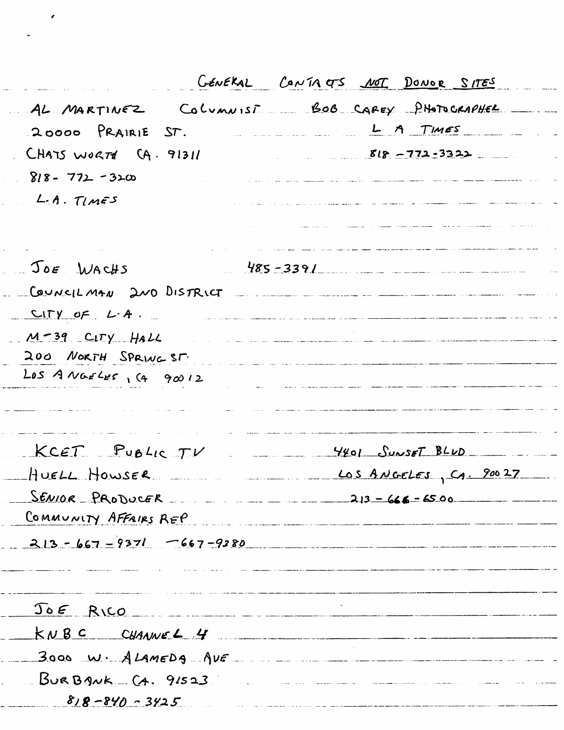|                             | GENERAL CONTACTS <u>NOT</u> DONOR SITES                                                                                     |  |
|-----------------------------|-----------------------------------------------------------------------------------------------------------------------------|--|
|                             | AL MARTINEZ COLUMNIST BOB CAREY PHOTOGRAPHER                                                                                |  |
| 20000 PRAIRIE ST.           | L A TIMES                                                                                                                   |  |
| $CHATS W0RTT$ $(A. 91311)$  | $818 - 772 - 3322$                                                                                                          |  |
| $818 - 772 - 3200$          |                                                                                                                             |  |
| L.A. TIMES                  | میں ا <del>ردوسیاں</del> ریک <del>نوں کی رابط میں</del> دیکھ میں میں انتظام کو معلومات رہا ہے کہ انتظام کے درمیان کر انتظام |  |
|                             | منزوجه وسائل ستتصلص صحب المسترد والمصطرف المرمودين                                                                          |  |
|                             | a consideration of the construction and consideration and the angle of the construction                                     |  |
| $JOE$ WACHS                 | $485 - 3391$                                                                                                                |  |
|                             | COUNCILMAN 2NO DISTRICT                                                                                                     |  |
| $CITY$ of $L-A$ .           | .<br>Prince in Galaxia and a complete complete of a power of the complete form the complete of the complete of the          |  |
| $M-39$ CITY HALL            |                                                                                                                             |  |
| 200 NORTH SPRING ST.        | tante de la comunicación de la comunicación de la comunicación de la comunicación de la comunicación de la comunicación     |  |
| $Loss$ A NGELES, $(490012)$ | .<br>19 de janvier - January Laurence, american español español (no español de la construída de la contenente de la         |  |
|                             |                                                                                                                             |  |
| $KCET$ PUBLIC $TV$          | 4401 SUNSET BLUD                                                                                                            |  |
| HUELL HOWSER                | LOS ANGELES, CA. 90027                                                                                                      |  |
|                             | $SEWOR$ PRODUCER $125-666-6500$                                                                                             |  |
| COMMUNITY AFFAIRS REP       |                                                                                                                             |  |
|                             | $213 - 667 - 9371 - 667 - 9380$                                                                                             |  |
|                             |                                                                                                                             |  |
|                             |                                                                                                                             |  |
| $J_0 \epsilon$ RICO         | a a como o comunica como a conseguidade a conseguida e a conseguida e a conseguidade como este con                          |  |
|                             | $kNBC$ CHANNEL 4                                                                                                            |  |
|                             | $3000$ W. $A$ LAMEDA $NE$                                                                                                   |  |
| $B$ URBANK $(A. 91523)$     |                                                                                                                             |  |
| $818 - 840 - 3425$          |                                                                                                                             |  |

 $\bullet$ 

 $\ddot{\phantom{0}}$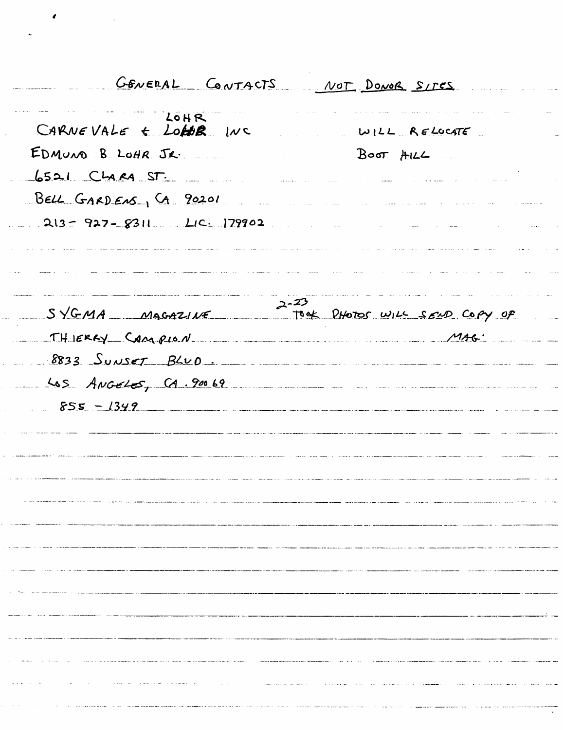GENERAL CONTACTS NOT DONOR SITES LOHR CARNEVALE & LOHB INC RELOCATE EDMUNO B LOHR JR.  $Bo\sigma$   $HIL$  $6521$   $C4884$   $ST$ BELL GARDENS, CA 90201  $213 - 927 - 8311$   $LIC. 179902$ and the construction of the company of the company of the company company of the construction of the company of .<br>Andre Corean Statement Communication and analysis international continues and analysis in the series of the co المتحدث ستبدع والماري التقييمات  $2 - 23$ SYGMA MAGAZINE TOOK PHOTOS WILL SEND COPY OF THIERRY CAMPION  $8833$  Sunset  $B\&O$ . Las Angeles, CA.90069  $555 - 1349$ <u> 1989 - Andrea Station Barbara, actor a contra de la contra de la contra de la contra de la contra de la con</u>tra <u>.</u><br>19 december - Johann Leon, Amerikaansk politikus († 1900) ,我们就是一个人的人,我们就是一个人的人,我们就是一个人的人,我们就是一个人的人,我们就是一个人的人,我们就是一个人的人,我们就是一个人的人,我们就是一个人的人 .<br>In constitution of the property product in the capability of the college of the consequence of the college of  $\label{eq:3.1} \begin{minipage}{0.9\textwidth} \begin{minipage}{0.9\textwidth} \centering \begin{minipage}{0.9\textwidth} \centering \end{minipage} \begin{minipage}{0.9\textwidth} \centering \begin{minipage}{0.9\textwidth} \centering \end{minipage} \end{minipage} \begin{minipage}{0.9\textwidth} \centering \begin{minipage}{0.9\textwidth} \centering \end{minipage} \end{minipage} \begin{minipage}{0.9\textwidth} \centering \begin{minipage}{0.9\textwidth} \centering \end{minipage} \end{minipage} \begin{minipage}{0.9\text$  $\label{eq:2.1} \mathcal{L} = \mathcal{L} \left( \mathcal{L} \right) \mathcal{L} \left( \mathcal{L} \right) \mathcal{L} \left( \mathcal{L} \right) \mathcal{L} \left( \mathcal{L} \right) \mathcal{L} \left( \mathcal{L} \right) \mathcal{L} \left( \mathcal{L} \right) \mathcal{L} \left( \mathcal{L} \right) \mathcal{L} \left( \mathcal{L} \right) \mathcal{L} \left( \mathcal{L} \right) \mathcal{L} \left( \mathcal{L} \right) \mathcal{L} \left( \mathcal{L} \right) \mathcal{L}$ .<br>De la mandata de la mandata de la construcción de la mandata de la mandata de la mandata de la mandata de la m in a component of the component of the component of the component of the component of the component of the component of the component of the component of the component of the component of the component of the component of